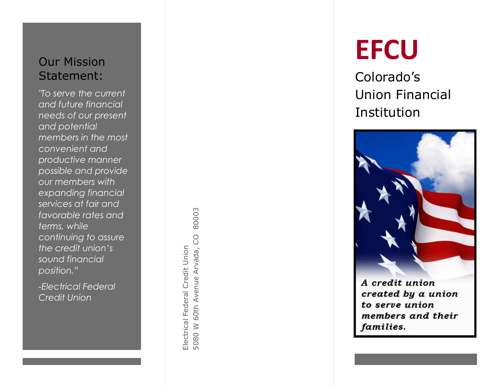#### Our Mission Statement:

*"To serve the current and future financial needs of our present and potential members in the most convenient and productive manner possible and provide our members with expanding financial services at fair and favorable rates and terms, while continuing to assure the credit union's sound financial position."*

*-Electrical Federal Credit Union*

80003 5080 W 60th Avenue Arvada, CO 80003 5080 W 60th Avenue Arvada, CO Electrical Federal Credit Union Electrical Federal Credit Union

# **EFCU**

Colorado's Union Financial Institution



A credit union created by a union to serve union members and their families.